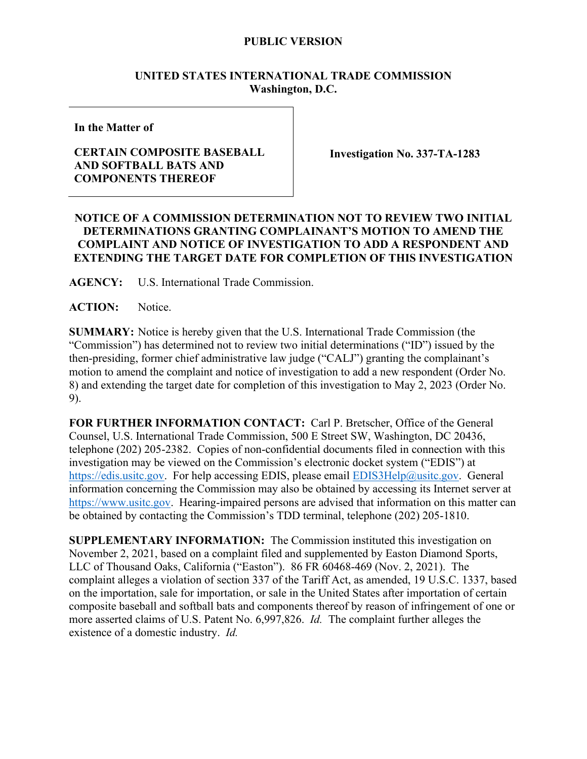### **PUBLIC VERSION**

### **UNITED STATES INTERNATIONAL TRADE COMMISSION Washington, D.C.**

**In the Matter of**

# **CERTAIN COMPOSITE BASEBALL AND SOFTBALL BATS AND COMPONENTS THEREOF**

**Investigation No. 337-TA-1283**

# **NOTICE OF A COMMISSION DETERMINATION NOT TO REVIEW TWO INITIAL DETERMINATIONS GRANTING COMPLAINANT'S MOTION TO AMEND THE COMPLAINT AND NOTICE OF INVESTIGATION TO ADD A RESPONDENT AND EXTENDING THE TARGET DATE FOR COMPLETION OF THIS INVESTIGATION**

**AGENCY:** U.S. International Trade Commission.

**ACTION:** Notice.

**SUMMARY:** Notice is hereby given that the U.S. International Trade Commission (the "Commission") has determined not to review two initial determinations ("ID") issued by the then-presiding, former chief administrative law judge ("CALJ") granting the complainant's motion to amend the complaint and notice of investigation to add a new respondent (Order No. 8) and extending the target date for completion of this investigation to May 2, 2023 (Order No. 9).

**FOR FURTHER INFORMATION CONTACT:** Carl P. Bretscher, Office of the General Counsel, U.S. International Trade Commission, 500 E Street SW, Washington, DC 20436, telephone (202) 205-2382. Copies of non-confidential documents filed in connection with this investigation may be viewed on the Commission's electronic docket system ("EDIS") at [https://edis.usitc.gov.](https://edis.usitc.gov/) For help accessing EDIS, please email [EDIS3Help@usitc.gov.](mailto:EDIS3Help@usitc.gov) General information concerning the Commission may also be obtained by accessing its Internet server at [https://www.usitc.gov.](https://www.usitc.gov/) Hearing-impaired persons are advised that information on this matter can be obtained by contacting the Commission's TDD terminal, telephone (202) 205-1810.

**SUPPLEMENTARY INFORMATION:** The Commission instituted this investigation on November 2, 2021, based on a complaint filed and supplemented by Easton Diamond Sports, LLC of Thousand Oaks, California ("Easton"). 86 FR 60468-469 (Nov. 2, 2021). The complaint alleges a violation of section 337 of the Tariff Act, as amended, 19 U.S.C. 1337, based on the importation, sale for importation, or sale in the United States after importation of certain composite baseball and softball bats and components thereof by reason of infringement of one or more asserted claims of U.S. Patent No. 6,997,826. *Id.* The complaint further alleges the existence of a domestic industry. *Id.*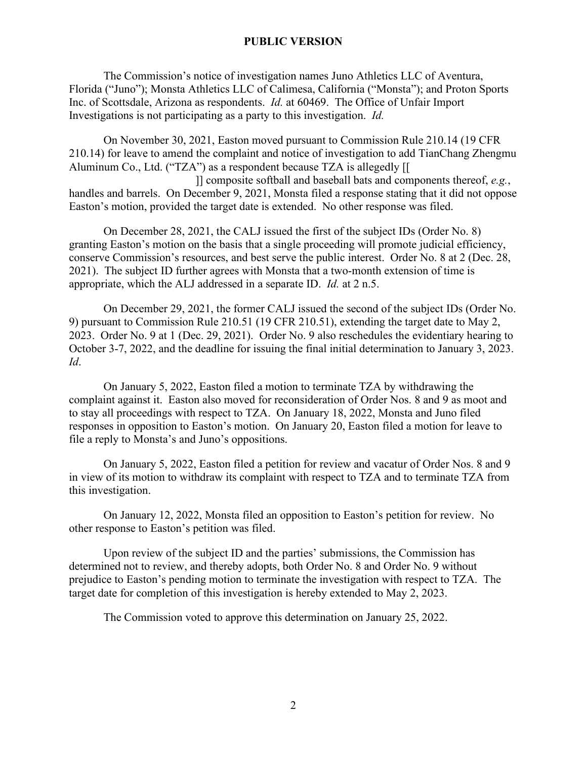### **PUBLIC VERSION**

The Commission's notice of investigation names Juno Athletics LLC of Aventura, Florida ("Juno"); Monsta Athletics LLC of Calimesa, California ("Monsta"); and Proton Sports Inc. of Scottsdale, Arizona as respondents. *Id.* at 60469. The Office of Unfair Import Investigations is not participating as a party to this investigation. *Id.*

On November 30, 2021, Easton moved pursuant to Commission Rule 210.14 (19 CFR 210.14) for leave to amend the complaint and notice of investigation to add TianChang Zhengmu Aluminum Co., Ltd. ("TZA") as a respondent because TZA is allegedly [[

 ]] composite softball and baseball bats and components thereof, *e.g.*, handles and barrels. On December 9, 2021, Monsta filed a response stating that it did not oppose Easton's motion, provided the target date is extended. No other response was filed.

On December 28, 2021, the CALJ issued the first of the subject IDs (Order No. 8) granting Easton's motion on the basis that a single proceeding will promote judicial efficiency, conserve Commission's resources, and best serve the public interest. Order No. 8 at 2 (Dec. 28, 2021). The subject ID further agrees with Monsta that a two-month extension of time is appropriate, which the ALJ addressed in a separate ID. *Id.* at 2 n.5.

On December 29, 2021, the former CALJ issued the second of the subject IDs (Order No. 9) pursuant to Commission Rule 210.51 (19 CFR 210.51), extending the target date to May 2, 2023. Order No. 9 at 1 (Dec. 29, 2021). Order No. 9 also reschedules the evidentiary hearing to October 3-7, 2022, and the deadline for issuing the final initial determination to January 3, 2023. *Id*.

On January 5, 2022, Easton filed a motion to terminate TZA by withdrawing the complaint against it. Easton also moved for reconsideration of Order Nos. 8 and 9 as moot and to stay all proceedings with respect to TZA. On January 18, 2022, Monsta and Juno filed responses in opposition to Easton's motion. On January 20, Easton filed a motion for leave to file a reply to Monsta's and Juno's oppositions.

On January 5, 2022, Easton filed a petition for review and vacatur of Order Nos. 8 and 9 in view of its motion to withdraw its complaint with respect to TZA and to terminate TZA from this investigation.

On January 12, 2022, Monsta filed an opposition to Easton's petition for review. No other response to Easton's petition was filed.

Upon review of the subject ID and the parties' submissions, the Commission has determined not to review, and thereby adopts, both Order No. 8 and Order No. 9 without prejudice to Easton's pending motion to terminate the investigation with respect to TZA. The target date for completion of this investigation is hereby extended to May 2, 2023.

The Commission voted to approve this determination on January 25, 2022.